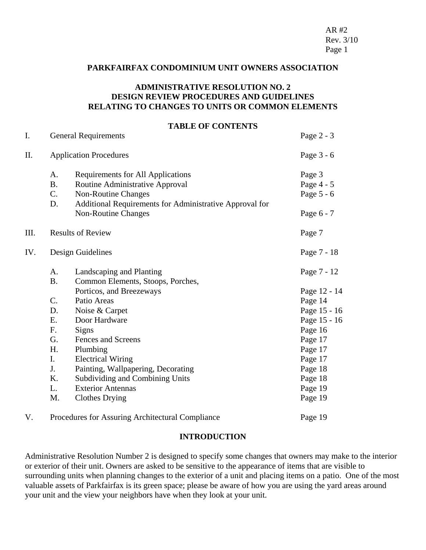#### **PARKFAIRFAX CONDOMINIUM UNIT OWNERS ASSOCIATION**

## **ADMINISTRATIVE RESOLUTION NO. 2 DESIGN REVIEW PROCEDURES AND GUIDELINES RELATING TO CHANGES TO UNITS OR COMMON ELEMENTS**

#### **TABLE OF CONTENTS**

| I.   |                                                          | <b>General Requirements</b>                                                                                                                                                                                                | Page 2 - 3                                                                                                           |
|------|----------------------------------------------------------|----------------------------------------------------------------------------------------------------------------------------------------------------------------------------------------------------------------------------|----------------------------------------------------------------------------------------------------------------------|
| Π.   | <b>Application Procedures</b>                            |                                                                                                                                                                                                                            | Page 3 - 6                                                                                                           |
|      | A.<br><b>B.</b><br>C.<br>D.                              | Requirements for All Applications<br>Routine Administrative Approval<br><b>Non-Routine Changes</b><br>Additional Requirements for Administrative Approval for<br>Non-Routine Changes                                       | Page 3<br>Page 4 - 5<br>Page 5 - 6<br>Page 6 - 7                                                                     |
| III. |                                                          | <b>Results of Review</b>                                                                                                                                                                                                   | Page 7                                                                                                               |
| IV.  | Design Guidelines                                        |                                                                                                                                                                                                                            | Page 7 - 18                                                                                                          |
|      | A.<br><b>B.</b>                                          | Landscaping and Planting<br>Common Elements, Stoops, Porches,<br>Porticos, and Breezeways                                                                                                                                  | Page 7 - 12<br>Page 12 - 14                                                                                          |
|      | C.<br>D.<br>Ε.<br>F.<br>G.<br>H.<br>I.<br>J.<br>K.<br>L. | Patio Areas<br>Noise & Carpet<br>Door Hardware<br>Signs<br>Fences and Screens<br>Plumbing<br><b>Electrical Wiring</b><br>Painting, Wallpapering, Decorating<br>Subdividing and Combining Units<br><b>Exterior Antennas</b> | Page 14<br>Page 15 - 16<br>Page 15 - 16<br>Page 16<br>Page 17<br>Page 17<br>Page 17<br>Page 18<br>Page 18<br>Page 19 |
| V.   | M.                                                       | <b>Clothes Drying</b><br>Procedures for Assuring Architectural Compliance                                                                                                                                                  | Page 19<br>Page 19                                                                                                   |

### **INTRODUCTION**

Administrative Resolution Number 2 is designed to specify some changes that owners may make to the interior or exterior of their unit. Owners are asked to be sensitive to the appearance of items that are visible to surrounding units when planning changes to the exterior of a unit and placing items on a patio. One of the most valuable assets of Parkfairfax is its green space; please be aware of how you are using the yard areas around your unit and the view your neighbors have when they look at your unit.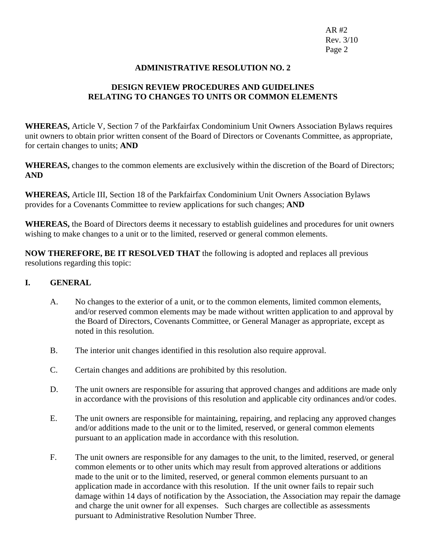### **ADMINISTRATIVE RESOLUTION NO. 2**

### **DESIGN REVIEW PROCEDURES AND GUIDELINES RELATING TO CHANGES TO UNITS OR COMMON ELEMENTS**

**WHEREAS,** Article V, Section 7 of the Parkfairfax Condominium Unit Owners Association Bylaws requires unit owners to obtain prior written consent of the Board of Directors or Covenants Committee, as appropriate, for certain changes to units; **AND** 

**WHEREAS,** changes to the common elements are exclusively within the discretion of the Board of Directors; **AND** 

**WHEREAS,** Article III, Section 18 of the Parkfairfax Condominium Unit Owners Association Bylaws provides for a Covenants Committee to review applications for such changes; **AND** 

**WHEREAS,** the Board of Directors deems it necessary to establish guidelines and procedures for unit owners wishing to make changes to a unit or to the limited, reserved or general common elements.

**NOW THEREFORE, BE IT RESOLVED THAT** the following is adopted and replaces all previous resolutions regarding this topic:

#### **I. GENERAL**

- A. No changes to the exterior of a unit, or to the common elements, limited common elements, and/or reserved common elements may be made without written application to and approval by the Board of Directors, Covenants Committee, or General Manager as appropriate, except as noted in this resolution.
- B. The interior unit changes identified in this resolution also require approval.
- C. Certain changes and additions are prohibited by this resolution.
- D. The unit owners are responsible for assuring that approved changes and additions are made only in accordance with the provisions of this resolution and applicable city ordinances and/or codes.
- E. The unit owners are responsible for maintaining, repairing, and replacing any approved changes and/or additions made to the unit or to the limited, reserved, or general common elements pursuant to an application made in accordance with this resolution.
- F. The unit owners are responsible for any damages to the unit, to the limited, reserved, or general common elements or to other units which may result from approved alterations or additions made to the unit or to the limited, reserved, or general common elements pursuant to an application made in accordance with this resolution. If the unit owner fails to repair such damage within 14 days of notification by the Association, the Association may repair the damage and charge the unit owner for all expenses. Such charges are collectible as assessments pursuant to Administrative Resolution Number Three.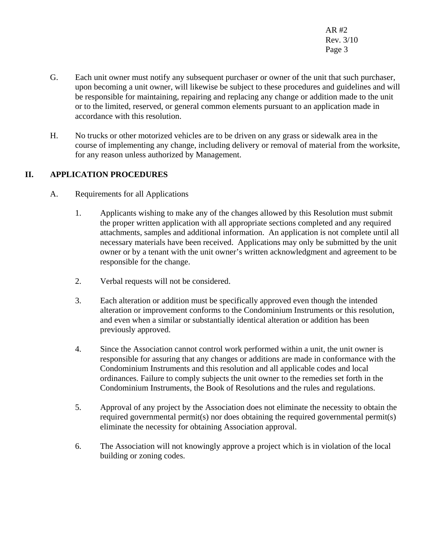- G. Each unit owner must notify any subsequent purchaser or owner of the unit that such purchaser, upon becoming a unit owner, will likewise be subject to these procedures and guidelines and will be responsible for maintaining, repairing and replacing any change or addition made to the unit or to the limited, reserved, or general common elements pursuant to an application made in accordance with this resolution.
- H. No trucks or other motorized vehicles are to be driven on any grass or sidewalk area in the course of implementing any change, including delivery or removal of material from the worksite, for any reason unless authorized by Management.

# **II. APPLICATION PROCEDURES**

- A. Requirements for all Applications
	- 1. Applicants wishing to make any of the changes allowed by this Resolution must submit the proper written application with all appropriate sections completed and any required attachments, samples and additional information. An application is not complete until all necessary materials have been received. Applications may only be submitted by the unit owner or by a tenant with the unit owner's written acknowledgment and agreement to be responsible for the change.
	- 2. Verbal requests will not be considered.
	- 3. Each alteration or addition must be specifically approved even though the intended alteration or improvement conforms to the Condominium Instruments or this resolution, and even when a similar or substantially identical alteration or addition has been previously approved.
	- 4. Since the Association cannot control work performed within a unit, the unit owner is responsible for assuring that any changes or additions are made in conformance with the Condominium Instruments and this resolution and all applicable codes and local ordinances. Failure to comply subjects the unit owner to the remedies set forth in the Condominium Instruments, the Book of Resolutions and the rules and regulations.
	- 5. Approval of any project by the Association does not eliminate the necessity to obtain the required governmental permit(s) nor does obtaining the required governmental permit(s) eliminate the necessity for obtaining Association approval.
	- 6. The Association will not knowingly approve a project which is in violation of the local building or zoning codes.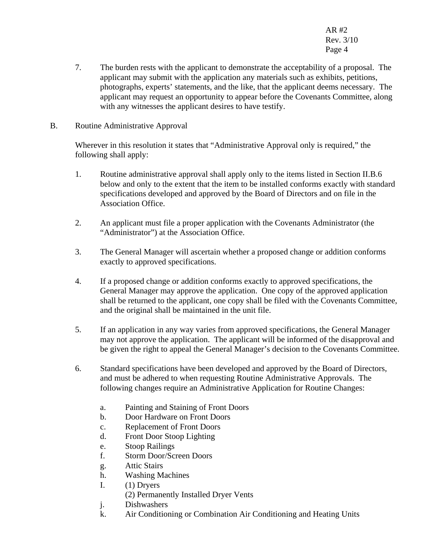- 7. The burden rests with the applicant to demonstrate the acceptability of a proposal. The applicant may submit with the application any materials such as exhibits, petitions, photographs, experts' statements, and the like, that the applicant deems necessary. The applicant may request an opportunity to appear before the Covenants Committee, along with any witnesses the applicant desires to have testify.
- B. Routine Administrative Approval

Wherever in this resolution it states that "Administrative Approval only is required," the following shall apply:

- 1. Routine administrative approval shall apply only to the items listed in Section II.B.6 below and only to the extent that the item to be installed conforms exactly with standard specifications developed and approved by the Board of Directors and on file in the Association Office.
- 2. An applicant must file a proper application with the Covenants Administrator (the "Administrator") at the Association Office.
- 3. The General Manager will ascertain whether a proposed change or addition conforms exactly to approved specifications.
- 4. If a proposed change or addition conforms exactly to approved specifications, the General Manager may approve the application. One copy of the approved application shall be returned to the applicant, one copy shall be filed with the Covenants Committee, and the original shall be maintained in the unit file.
- 5. If an application in any way varies from approved specifications, the General Manager may not approve the application. The applicant will be informed of the disapproval and be given the right to appeal the General Manager's decision to the Covenants Committee.
- 6. Standard specifications have been developed and approved by the Board of Directors, and must be adhered to when requesting Routine Administrative Approvals. The following changes require an Administrative Application for Routine Changes:
	- a. Painting and Staining of Front Doors
	- b. Door Hardware on Front Doors
	- c. Replacement of Front Doors
	- d. Front Door Stoop Lighting
	- e. Stoop Railings
	- f. Storm Door/Screen Doors
	- g. Attic Stairs
	- h. Washing Machines
	- I. (1) Dryers
		- (2) Permanently Installed Dryer Vents
	- j. Dishwashers
	- k. Air Conditioning or Combination Air Conditioning and Heating Units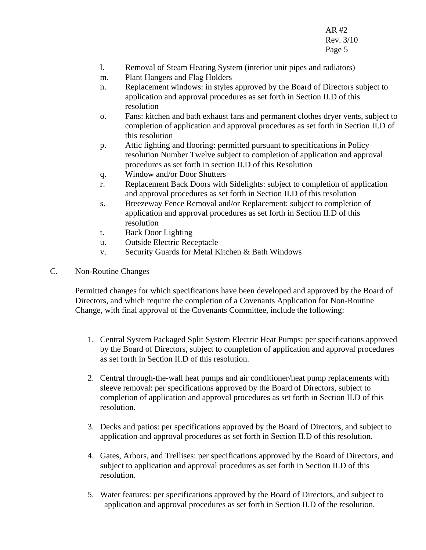- l. Removal of Steam Heating System (interior unit pipes and radiators)
- m. Plant Hangers and Flag Holders
- n. Replacement windows: in styles approved by the Board of Directors subject to application and approval procedures as set forth in Section II.D of this resolution
- o. Fans: kitchen and bath exhaust fans and permanent clothes dryer vents, subject to completion of application and approval procedures as set forth in Section II.D of this resolution
- p. Attic lighting and flooring: permitted pursuant to specifications in Policy resolution Number Twelve subject to completion of application and approval procedures as set forth in section II.D of this Resolution
- q. Window and/or Door Shutters
- r. Replacement Back Doors with Sidelights: subject to completion of application and approval procedures as set forth in Section II.D of this resolution
- s. Breezeway Fence Removal and/or Replacement: subject to completion of application and approval procedures as set forth in Section II.D of this resolution
- t. Back Door Lighting
- u. Outside Electric Receptacle
- v. Security Guards for Metal Kitchen & Bath Windows
- C. Non-Routine Changes

Permitted changes for which specifications have been developed and approved by the Board of Directors, and which require the completion of a Covenants Application for Non-Routine Change, with final approval of the Covenants Committee, include the following:

- 1. Central System Packaged Split System Electric Heat Pumps: per specifications approved by the Board of Directors, subject to completion of application and approval procedures as set forth in Section II.D of this resolution.
- 2. Central through-the-wall heat pumps and air conditioner/heat pump replacements with sleeve removal: per specifications approved by the Board of Directors, subject to completion of application and approval procedures as set forth in Section II.D of this resolution.
- 3. Decks and patios: per specifications approved by the Board of Directors, and subject to application and approval procedures as set forth in Section II.D of this resolution.
- 4. Gates, Arbors, and Trellises: per specifications approved by the Board of Directors, and subject to application and approval procedures as set forth in Section II.D of this resolution.
- 5. Water features: per specifications approved by the Board of Directors, and subject to application and approval procedures as set forth in Section II.D of the resolution.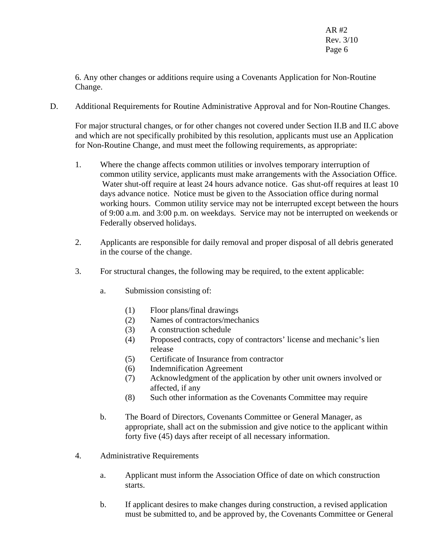6. Any other changes or additions require using a Covenants Application for Non-Routine Change.

D. Additional Requirements for Routine Administrative Approval and for Non-Routine Changes.

For major structural changes, or for other changes not covered under Section II.B and II.C above and which are not specifically prohibited by this resolution, applicants must use an Application for Non-Routine Change, and must meet the following requirements, as appropriate:

- 1. Where the change affects common utilities or involves temporary interruption of common utility service, applicants must make arrangements with the Association Office. Water shut-off require at least 24 hours advance notice. Gas shut-off requires at least 10 days advance notice. Notice must be given to the Association office during normal working hours. Common utility service may not be interrupted except between the hours of 9:00 a.m. and 3:00 p.m. on weekdays. Service may not be interrupted on weekends or Federally observed holidays.
- 2. Applicants are responsible for daily removal and proper disposal of all debris generated in the course of the change.
- 3. For structural changes, the following may be required, to the extent applicable:
	- a. Submission consisting of:
		- (1) Floor plans/final drawings
		- (2) Names of contractors/mechanics
		- (3) A construction schedule
		- (4) Proposed contracts, copy of contractors' license and mechanic's lien release
		- (5) Certificate of Insurance from contractor
		- (6) Indemnification Agreement
		- (7) Acknowledgment of the application by other unit owners involved or affected, if any
		- (8) Such other information as the Covenants Committee may require
	- b. The Board of Directors, Covenants Committee or General Manager, as appropriate, shall act on the submission and give notice to the applicant within forty five (45) days after receipt of all necessary information.
- 4. Administrative Requirements
	- a. Applicant must inform the Association Office of date on which construction starts.
	- b. If applicant desires to make changes during construction, a revised application must be submitted to, and be approved by, the Covenants Committee or General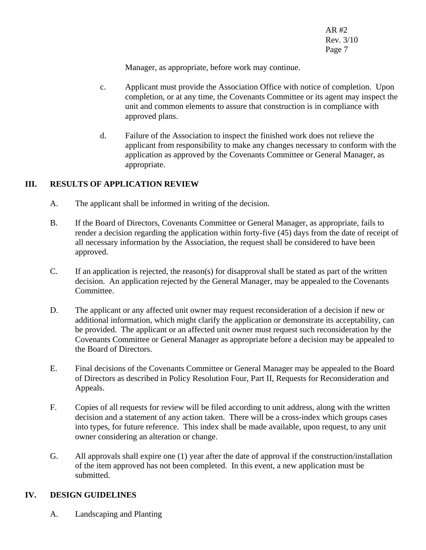Manager, as appropriate, before work may continue.

- c. Applicant must provide the Association Office with notice of completion. Upon completion, or at any time, the Covenants Committee or its agent may inspect the unit and common elements to assure that construction is in compliance with approved plans.
- d. Failure of the Association to inspect the finished work does not relieve the applicant from responsibility to make any changes necessary to conform with the application as approved by the Covenants Committee or General Manager, as appropriate.

## **III. RESULTS OF APPLICATION REVIEW**

- A. The applicant shall be informed in writing of the decision.
- B. If the Board of Directors, Covenants Committee or General Manager, as appropriate, fails to render a decision regarding the application within forty-five (45) days from the date of receipt of all necessary information by the Association, the request shall be considered to have been approved.
- C. If an application is rejected, the reason(s) for disapproval shall be stated as part of the written decision. An application rejected by the General Manager, may be appealed to the Covenants Committee.
- D. The applicant or any affected unit owner may request reconsideration of a decision if new or additional information, which might clarify the application or demonstrate its acceptability, can be provided. The applicant or an affected unit owner must request such reconsideration by the Covenants Committee or General Manager as appropriate before a decision may be appealed to the Board of Directors.
- E. Final decisions of the Covenants Committee or General Manager may be appealed to the Board of Directors as described in Policy Resolution Four, Part II, Requests for Reconsideration and Appeals.
- F. Copies of all requests for review will be filed according to unit address, along with the written decision and a statement of any action taken. There will be a cross-index which groups cases into types, for future reference. This index shall be made available, upon request, to any unit owner considering an alteration or change.
- G. All approvals shall expire one (1) year after the date of approval if the construction/installation of the item approved has not been completed. In this event, a new application must be submitted.

## **IV. DESIGN GUIDELINES**

A. Landscaping and Planting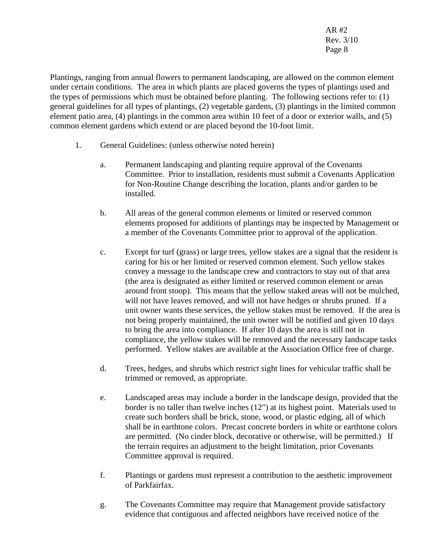Plantings, ranging from annual flowers to permanent landscaping, are allowed on the common element under certain conditions. The area in which plants are placed governs the types of plantings used and the types of permissions which must be obtained before planting. The following sections refer to: (1) general guidelines for all types of plantings, (2) vegetable gardens, (3) plantings in the limited common element patio area, (4) plantings in the common area within 10 feet of a door or exterior walls, and (5) common element gardens which extend or are placed beyond the 10-foot limit.

- 1. General Guidelines: (unless otherwise noted herein)
	- a. Permanent landscaping and planting require approval of the Covenants Committee. Prior to installation, residents must submit a Covenants Application for Non-Routine Change describing the location, plants and/or garden to be installed.
	- b. All areas of the general common elements or limited or reserved common elements proposed for additions of plantings may be inspected by Management or a member of the Covenants Committee prior to approval of the application.
	- c. Except for turf (grass) or large trees, yellow stakes are a signal that the resident is caring for his or her limited or reserved common element. Such yellow stakes convey a message to the landscape crew and contractors to stay out of that area (the area is designated as either limited or reserved common element or areas around front stoop). This means that the yellow staked areas will not be mulched, will not have leaves removed, and will not have hedges or shrubs pruned. If a unit owner wants these services, the yellow stakes must be removed. If the area is not being properly maintained, the unit owner will be notified and given 10 days to bring the area into compliance. If after 10 days the area is still not in compliance, the yellow stakes will be removed and the necessary landscape tasks performed. Yellow stakes are available at the Association Office free of charge.
	- d. Trees, hedges, and shrubs which restrict sight lines for vehicular traffic shall be trimmed or removed, as appropriate.
	- e. Landscaped areas may include a border in the landscape design, provided that the border is no taller than twelve inches (12") at its highest point. Materials used to create such borders shall be brick, stone, wood, or plastic edging, all of which shall be in earthtone colors. Precast concrete borders in white or earthtone colors are permitted. (No cinder block, decorative or otherwise, will be permitted.) If the terrain requires an adjustment to the height limitation, prior Covenants Committee approval is required.
	- f. Plantings or gardens must represent a contribution to the aesthetic improvement of Parkfairfax.
	- g. The Covenants Committee may require that Management provide satisfactory evidence that contiguous and affected neighbors have received notice of the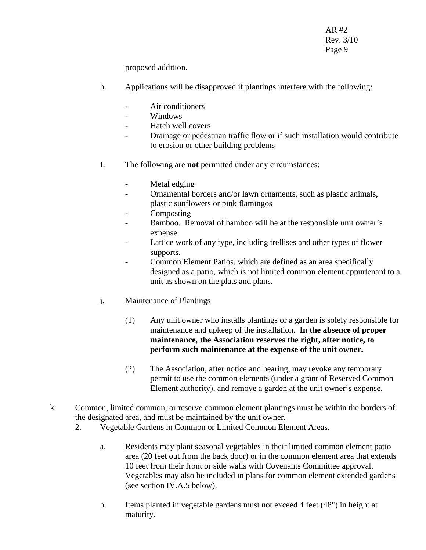proposed addition.

- h. Applications will be disapproved if plantings interfere with the following:
	- Air conditioners
	- Windows
	- Hatch well covers
	- Drainage or pedestrian traffic flow or if such installation would contribute to erosion or other building problems
- I. The following are **not** permitted under any circumstances:
	- Metal edging
	- Ornamental borders and/or lawn ornaments, such as plastic animals, plastic sunflowers or pink flamingos
	- **Composting**
	- Bamboo. Removal of bamboo will be at the responsible unit owner's expense.
	- Lattice work of any type, including trellises and other types of flower supports.
	- Common Element Patios, which are defined as an area specifically designed as a patio, which is not limited common element appurtenant to a unit as shown on the plats and plans.
- j. Maintenance of Plantings
	- (1) Any unit owner who installs plantings or a garden is solely responsible for maintenance and upkeep of the installation. **In the absence of proper maintenance, the Association reserves the right, after notice, to perform such maintenance at the expense of the unit owner.**
	- (2) The Association, after notice and hearing, may revoke any temporary permit to use the common elements (under a grant of Reserved Common Element authority), and remove a garden at the unit owner's expense.
- k. Common, limited common, or reserve common element plantings must be within the borders of the designated area, and must be maintained by the unit owner.
	- 2. Vegetable Gardens in Common or Limited Common Element Areas.
		- a. Residents may plant seasonal vegetables in their limited common element patio area (20 feet out from the back door) or in the common element area that extends 10 feet from their front or side walls with Covenants Committee approval. Vegetables may also be included in plans for common element extended gardens (see section IV.A.5 below).
		- b. Items planted in vegetable gardens must not exceed 4 feet (48") in height at maturity.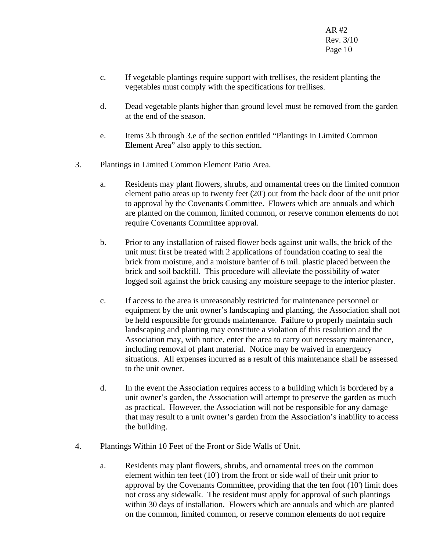- c. If vegetable plantings require support with trellises, the resident planting the vegetables must comply with the specifications for trellises.
- d. Dead vegetable plants higher than ground level must be removed from the garden at the end of the season.
- e. Items 3.b through 3.e of the section entitled "Plantings in Limited Common Element Area" also apply to this section.
- 3. Plantings in Limited Common Element Patio Area.
	- a. Residents may plant flowers, shrubs, and ornamental trees on the limited common element patio areas up to twenty feet (20') out from the back door of the unit prior to approval by the Covenants Committee. Flowers which are annuals and which are planted on the common, limited common, or reserve common elements do not require Covenants Committee approval.
	- b. Prior to any installation of raised flower beds against unit walls, the brick of the unit must first be treated with 2 applications of foundation coating to seal the brick from moisture, and a moisture barrier of 6 mil. plastic placed between the brick and soil backfill. This procedure will alleviate the possibility of water logged soil against the brick causing any moisture seepage to the interior plaster.
	- c. If access to the area is unreasonably restricted for maintenance personnel or equipment by the unit owner's landscaping and planting, the Association shall not be held responsible for grounds maintenance. Failure to properly maintain such landscaping and planting may constitute a violation of this resolution and the Association may, with notice, enter the area to carry out necessary maintenance, including removal of plant material. Notice may be waived in emergency situations. All expenses incurred as a result of this maintenance shall be assessed to the unit owner.
	- d. In the event the Association requires access to a building which is bordered by a unit owner's garden, the Association will attempt to preserve the garden as much as practical. However, the Association will not be responsible for any damage that may result to a unit owner's garden from the Association's inability to access the building.
- 4. Plantings Within 10 Feet of the Front or Side Walls of Unit.
	- a. Residents may plant flowers, shrubs, and ornamental trees on the common element within ten feet (10') from the front or side wall of their unit prior to approval by the Covenants Committee, providing that the ten foot (10') limit does not cross any sidewalk. The resident must apply for approval of such plantings within 30 days of installation. Flowers which are annuals and which are planted on the common, limited common, or reserve common elements do not require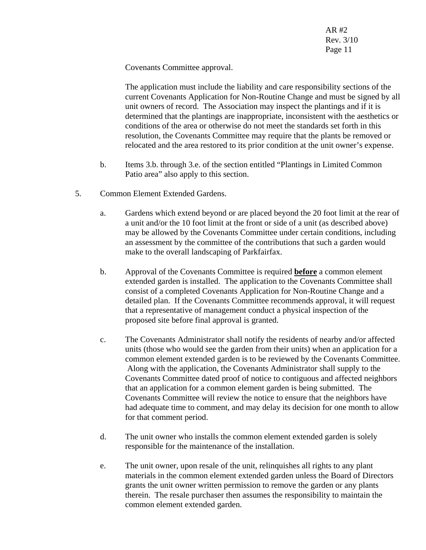Covenants Committee approval.

The application must include the liability and care responsibility sections of the current Covenants Application for Non-Routine Change and must be signed by all unit owners of record. The Association may inspect the plantings and if it is determined that the plantings are inappropriate, inconsistent with the aesthetics or conditions of the area or otherwise do not meet the standards set forth in this resolution, the Covenants Committee may require that the plants be removed or relocated and the area restored to its prior condition at the unit owner's expense.

- b. Items 3.b. through 3.e. of the section entitled "Plantings in Limited Common Patio area" also apply to this section.
- 5. Common Element Extended Gardens.
	- a. Gardens which extend beyond or are placed beyond the 20 foot limit at the rear of a unit and/or the 10 foot limit at the front or side of a unit (as described above) may be allowed by the Covenants Committee under certain conditions, including an assessment by the committee of the contributions that such a garden would make to the overall landscaping of Parkfairfax.
	- b. Approval of the Covenants Committee is required **before** a common element extended garden is installed. The application to the Covenants Committee shall consist of a completed Covenants Application for Non-Routine Change and a detailed plan. If the Covenants Committee recommends approval, it will request that a representative of management conduct a physical inspection of the proposed site before final approval is granted.
	- c. The Covenants Administrator shall notify the residents of nearby and/or affected units (those who would see the garden from their units) when an application for a common element extended garden is to be reviewed by the Covenants Committee. Along with the application, the Covenants Administrator shall supply to the Covenants Committee dated proof of notice to contiguous and affected neighbors that an application for a common element garden is being submitted. The Covenants Committee will review the notice to ensure that the neighbors have had adequate time to comment, and may delay its decision for one month to allow for that comment period.
	- d. The unit owner who installs the common element extended garden is solely responsible for the maintenance of the installation.
	- e. The unit owner, upon resale of the unit, relinquishes all rights to any plant materials in the common element extended garden unless the Board of Directors grants the unit owner written permission to remove the garden or any plants therein. The resale purchaser then assumes the responsibility to maintain the common element extended garden.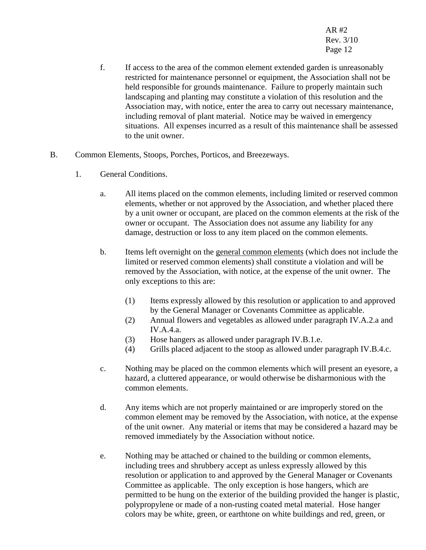- f. If access to the area of the common element extended garden is unreasonably restricted for maintenance personnel or equipment, the Association shall not be held responsible for grounds maintenance. Failure to properly maintain such landscaping and planting may constitute a violation of this resolution and the Association may, with notice, enter the area to carry out necessary maintenance, including removal of plant material. Notice may be waived in emergency situations. All expenses incurred as a result of this maintenance shall be assessed to the unit owner.
- B. Common Elements, Stoops, Porches, Porticos, and Breezeways.
	- 1. General Conditions.
		- a. All items placed on the common elements, including limited or reserved common elements, whether or not approved by the Association, and whether placed there by a unit owner or occupant, are placed on the common elements at the risk of the owner or occupant. The Association does not assume any liability for any damage, destruction or loss to any item placed on the common elements.
		- b. Items left overnight on the general common elements (which does not include the limited or reserved common elements) shall constitute a violation and will be removed by the Association, with notice, at the expense of the unit owner. The only exceptions to this are:
			- (1) Items expressly allowed by this resolution or application to and approved by the General Manager or Covenants Committee as applicable.
			- (2) Annual flowers and vegetables as allowed under paragraph IV.A.2.a and IV.A.4.a.
			- (3) Hose hangers as allowed under paragraph IV.B.1.e.
			- (4) Grills placed adjacent to the stoop as allowed under paragraph IV.B.4.c.
		- c. Nothing may be placed on the common elements which will present an eyesore, a hazard, a cluttered appearance, or would otherwise be disharmonious with the common elements.
		- d. Any items which are not properly maintained or are improperly stored on the common element may be removed by the Association, with notice, at the expense of the unit owner. Any material or items that may be considered a hazard may be removed immediately by the Association without notice.
		- e. Nothing may be attached or chained to the building or common elements, including trees and shrubbery accept as unless expressly allowed by this resolution or application to and approved by the General Manager or Covenants Committee as applicable. The only exception is hose hangers, which are permitted to be hung on the exterior of the building provided the hanger is plastic, polypropylene or made of a non-rusting coated metal material. Hose hanger colors may be white, green, or earthtone on white buildings and red, green, or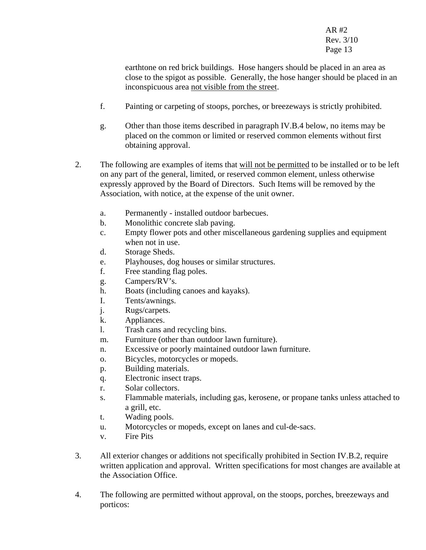earthtone on red brick buildings. Hose hangers should be placed in an area as close to the spigot as possible. Generally, the hose hanger should be placed in an inconspicuous area not visible from the street.

- f. Painting or carpeting of stoops, porches, or breezeways is strictly prohibited.
- g. Other than those items described in paragraph IV.B.4 below, no items may be placed on the common or limited or reserved common elements without first obtaining approval.
- 2. The following are examples of items that will not be permitted to be installed or to be left on any part of the general, limited, or reserved common element, unless otherwise expressly approved by the Board of Directors. Such Items will be removed by the Association, with notice, at the expense of the unit owner.
	- a. Permanently installed outdoor barbecues.
	- b. Monolithic concrete slab paving.
	- c. Empty flower pots and other miscellaneous gardening supplies and equipment when not in use.
	- d. Storage Sheds.
	- e. Playhouses, dog houses or similar structures.
	- f. Free standing flag poles.
	- g. Campers/RV's.
	- h. Boats (including canoes and kayaks).
	- I. Tents/awnings.
	- j. Rugs/carpets.
	- k. Appliances.
	- l. Trash cans and recycling bins.
	- m. Furniture (other than outdoor lawn furniture).
	- n. Excessive or poorly maintained outdoor lawn furniture.
	- o. Bicycles, motorcycles or mopeds.
	- p. Building materials.
	- q. Electronic insect traps.
	- r. Solar collectors.
	- s. Flammable materials, including gas, kerosene, or propane tanks unless attached to a grill, etc.
	- t. Wading pools.
	- u. Motorcycles or mopeds, except on lanes and cul-de-sacs.
	- v. Fire Pits
- 3. All exterior changes or additions not specifically prohibited in Section IV.B.2, require written application and approval. Written specifications for most changes are available at the Association Office.
- 4. The following are permitted without approval, on the stoops, porches, breezeways and porticos: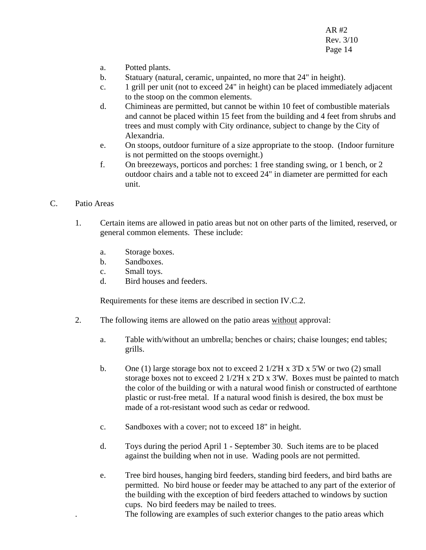- a. Potted plants.
- b. Statuary (natural, ceramic, unpainted, no more that 24" in height).
- c. 1 grill per unit (not to exceed 24" in height) can be placed immediately adjacent to the stoop on the common elements.
- d. Chimineas are permitted, but cannot be within 10 feet of combustible materials and cannot be placed within 15 feet from the building and 4 feet from shrubs and trees and must comply with City ordinance, subject to change by the City of Alexandria.
- e. On stoops, outdoor furniture of a size appropriate to the stoop. (Indoor furniture is not permitted on the stoops overnight.)
- f. On breezeways, porticos and porches: 1 free standing swing, or 1 bench, or 2 outdoor chairs and a table not to exceed 24" in diameter are permitted for each unit.
- C. Patio Areas
	- 1. Certain items are allowed in patio areas but not on other parts of the limited, reserved, or general common elements. These include:
		- a. Storage boxes.
		- b. Sandboxes.
		- c. Small toys.
		- d. Bird houses and feeders.

Requirements for these items are described in section IV.C.2.

- 2. The following items are allowed on the patio areas without approval:
	- a. Table with/without an umbrella; benches or chairs; chaise lounges; end tables; grills.
	- b. One (1) large storage box not to exceed  $2 \frac{1}{2}$  H x 3<sup>'</sup>D x 5<sup>'</sup>W or two (2) small storage boxes not to exceed 2 1/2'H x 2'D x 3'W. Boxes must be painted to match the color of the building or with a natural wood finish or constructed of earthtone plastic or rust-free metal. If a natural wood finish is desired, the box must be made of a rot-resistant wood such as cedar or redwood.
	- c. Sandboxes with a cover; not to exceed 18" in height.
	- d. Toys during the period April 1 September 30. Such items are to be placed against the building when not in use. Wading pools are not permitted.
	- e. Tree bird houses, hanging bird feeders, standing bird feeders, and bird baths are permitted. No bird house or feeder may be attached to any part of the exterior of the building with the exception of bird feeders attached to windows by suction cups. No bird feeders may be nailed to trees. . The following are examples of such exterior changes to the patio areas which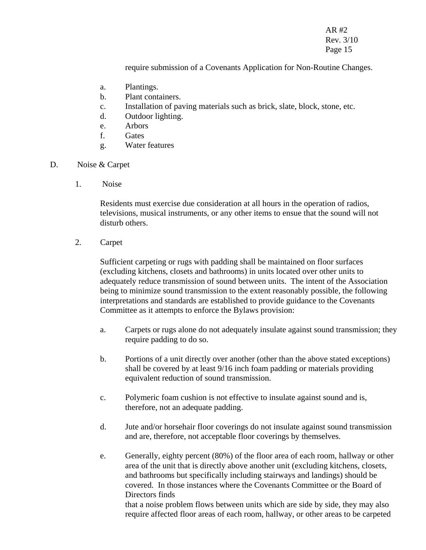require submission of a Covenants Application for Non-Routine Changes.

- a. Plantings.
- b. Plant containers.
- c. Installation of paving materials such as brick, slate, block, stone, etc.
- d. Outdoor lighting.
- e. Arbors
- f. Gates
- g. Water features
- D. Noise & Carpet
	- 1. Noise

Residents must exercise due consideration at all hours in the operation of radios, televisions, musical instruments, or any other items to ensue that the sound will not disturb others.

2. Carpet

Sufficient carpeting or rugs with padding shall be maintained on floor surfaces (excluding kitchens, closets and bathrooms) in units located over other units to adequately reduce transmission of sound between units. The intent of the Association being to minimize sound transmission to the extent reasonably possible, the following interpretations and standards are established to provide guidance to the Covenants Committee as it attempts to enforce the Bylaws provision:

- a. Carpets or rugs alone do not adequately insulate against sound transmission; they require padding to do so.
- b. Portions of a unit directly over another (other than the above stated exceptions) shall be covered by at least 9/16 inch foam padding or materials providing equivalent reduction of sound transmission.
- c. Polymeric foam cushion is not effective to insulate against sound and is, therefore, not an adequate padding.
- d. Jute and/or horsehair floor coverings do not insulate against sound transmission and are, therefore, not acceptable floor coverings by themselves.
- e. Generally, eighty percent (80%) of the floor area of each room, hallway or other area of the unit that is directly above another unit (excluding kitchens, closets, and bathrooms but specifically including stairways and landings) should be covered. In those instances where the Covenants Committee or the Board of Directors finds

that a noise problem flows between units which are side by side, they may also require affected floor areas of each room, hallway, or other areas to be carpeted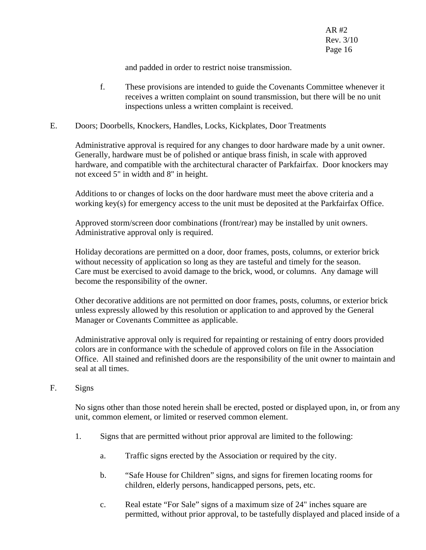and padded in order to restrict noise transmission.

- f. These provisions are intended to guide the Covenants Committee whenever it receives a written complaint on sound transmission, but there will be no unit inspections unless a written complaint is received.
- E. Doors; Doorbells, Knockers, Handles, Locks, Kickplates, Door Treatments

Administrative approval is required for any changes to door hardware made by a unit owner. Generally, hardware must be of polished or antique brass finish, in scale with approved hardware, and compatible with the architectural character of Parkfairfax. Door knockers may not exceed 5" in width and 8" in height.

Additions to or changes of locks on the door hardware must meet the above criteria and a working key(s) for emergency access to the unit must be deposited at the Parkfairfax Office.

Approved storm/screen door combinations (front/rear) may be installed by unit owners. Administrative approval only is required.

Holiday decorations are permitted on a door, door frames, posts, columns, or exterior brick without necessity of application so long as they are tasteful and timely for the season. Care must be exercised to avoid damage to the brick, wood, or columns. Any damage will become the responsibility of the owner.

Other decorative additions are not permitted on door frames, posts, columns, or exterior brick unless expressly allowed by this resolution or application to and approved by the General Manager or Covenants Committee as applicable.

Administrative approval only is required for repainting or restaining of entry doors provided colors are in conformance with the schedule of approved colors on file in the Association Office. All stained and refinished doors are the responsibility of the unit owner to maintain and seal at all times.

## F. Signs

No signs other than those noted herein shall be erected, posted or displayed upon, in, or from any unit, common element, or limited or reserved common element.

- 1. Signs that are permitted without prior approval are limited to the following:
	- a. Traffic signs erected by the Association or required by the city.
	- b. "Safe House for Children" signs, and signs for firemen locating rooms for children, elderly persons, handicapped persons, pets, etc.
	- c. Real estate "For Sale" signs of a maximum size of 24" inches square are permitted, without prior approval, to be tastefully displayed and placed inside of a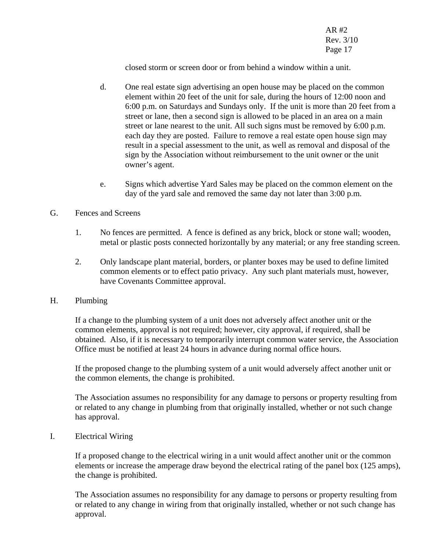closed storm or screen door or from behind a window within a unit.

- d. One real estate sign advertising an open house may be placed on the common element within 20 feet of the unit for sale, during the hours of 12:00 noon and 6:00 p.m. on Saturdays and Sundays only. If the unit is more than 20 feet from a street or lane, then a second sign is allowed to be placed in an area on a main street or lane nearest to the unit. All such signs must be removed by 6:00 p.m. each day they are posted. Failure to remove a real estate open house sign may result in a special assessment to the unit, as well as removal and disposal of the sign by the Association without reimbursement to the unit owner or the unit owner's agent.
- e. Signs which advertise Yard Sales may be placed on the common element on the day of the yard sale and removed the same day not later than 3:00 p.m.

### G. Fences and Screens

- 1. No fences are permitted. A fence is defined as any brick, block or stone wall; wooden, metal or plastic posts connected horizontally by any material; or any free standing screen.
- 2. Only landscape plant material, borders, or planter boxes may be used to define limited common elements or to effect patio privacy. Any such plant materials must, however, have Covenants Committee approval.

### H. Plumbing

If a change to the plumbing system of a unit does not adversely affect another unit or the common elements, approval is not required; however, city approval, if required, shall be obtained. Also, if it is necessary to temporarily interrupt common water service, the Association Office must be notified at least 24 hours in advance during normal office hours.

If the proposed change to the plumbing system of a unit would adversely affect another unit or the common elements, the change is prohibited.

The Association assumes no responsibility for any damage to persons or property resulting from or related to any change in plumbing from that originally installed, whether or not such change has approval.

#### I. Electrical Wiring

If a proposed change to the electrical wiring in a unit would affect another unit or the common elements or increase the amperage draw beyond the electrical rating of the panel box (125 amps), the change is prohibited.

The Association assumes no responsibility for any damage to persons or property resulting from or related to any change in wiring from that originally installed, whether or not such change has approval.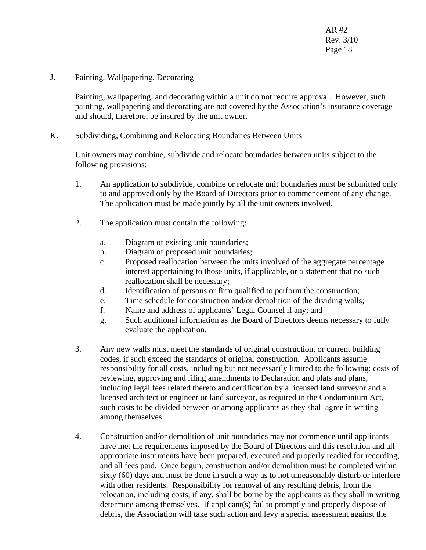J. Painting, Wallpapering, Decorating

Painting, wallpapering, and decorating within a unit do not require approval. However, such painting, wallpapering and decorating are not covered by the Association's insurance coverage and should, therefore, be insured by the unit owner.

K. Subdividing, Combining and Relocating Boundaries Between Units

Unit owners may combine, subdivide and relocate boundaries between units subject to the following provisions:

- 1. An application to subdivide, combine or relocate unit boundaries must be submitted only to and approved only by the Board of Directors prior to commencement of any change. The application must be made jointly by all the unit owners involved.
- 2. The application must contain the following:
	- a. Diagram of existing unit boundaries;
	- b. Diagram of proposed unit boundaries;
	- c. Proposed reallocation between the units involved of the aggregate percentage interest appertaining to those units, if applicable, or a statement that no such reallocation shall be necessary;
	- d. Identification of persons or firm qualified to perform the construction;
	- e. Time schedule for construction and/or demolition of the dividing walls;
	- f. Name and address of applicants' Legal Counsel if any; and
	- g. Such additional information as the Board of Directors deems necessary to fully evaluate the application.
- 3. Any new walls must meet the standards of original construction, or current building codes, if such exceed the standards of original construction. Applicants assume responsibility for all costs, including but not necessarily limited to the following: costs of reviewing, approving and filing amendments to Declaration and plats and plans, including legal fees related thereto and certification by a licensed land surveyor and a licensed architect or engineer or land surveyor, as required in the Condominium Act, such costs to be divided between or among applicants as they shall agree in writing among themselves.
- 4. Construction and/or demolition of unit boundaries may not commence until applicants have met the requirements imposed by the Board of Directors and this resolution and all appropriate instruments have been prepared, executed and properly readied for recording, and all fees paid. Once begun, construction and/or demolition must be completed within sixty (60) days and must be done in such a way as to not unreasonably disturb or interfere with other residents. Responsibility for removal of any resulting debris, from the relocation, including costs, if any, shall be borne by the applicants as they shall in writing determine among themselves. If applicant(s) fail to promptly and properly dispose of debris, the Association will take such action and levy a special assessment against the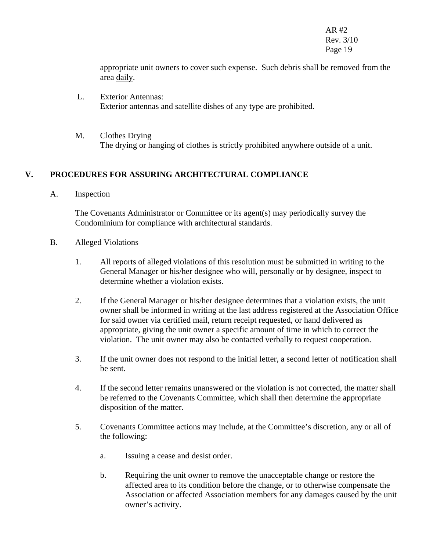appropriate unit owners to cover such expense. Such debris shall be removed from the area daily.

- L. Exterior Antennas: Exterior antennas and satellite dishes of any type are prohibited.
- M. Clothes Drying The drying or hanging of clothes is strictly prohibited anywhere outside of a unit.

## **V. PROCEDURES FOR ASSURING ARCHITECTURAL COMPLIANCE**

A. Inspection

The Covenants Administrator or Committee or its agent(s) may periodically survey the Condominium for compliance with architectural standards.

- B. Alleged Violations
	- 1. All reports of alleged violations of this resolution must be submitted in writing to the General Manager or his/her designee who will, personally or by designee, inspect to determine whether a violation exists.
	- 2. If the General Manager or his/her designee determines that a violation exists, the unit owner shall be informed in writing at the last address registered at the Association Office for said owner via certified mail, return receipt requested, or hand delivered as appropriate, giving the unit owner a specific amount of time in which to correct the violation. The unit owner may also be contacted verbally to request cooperation.
	- 3. If the unit owner does not respond to the initial letter, a second letter of notification shall be sent.
	- 4. If the second letter remains unanswered or the violation is not corrected, the matter shall be referred to the Covenants Committee, which shall then determine the appropriate disposition of the matter.
	- 5. Covenants Committee actions may include, at the Committee's discretion, any or all of the following:
		- a. Issuing a cease and desist order.
		- b. Requiring the unit owner to remove the unacceptable change or restore the affected area to its condition before the change, or to otherwise compensate the Association or affected Association members for any damages caused by the unit owner's activity.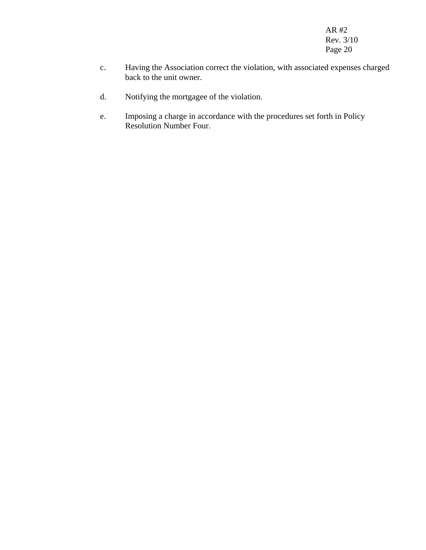- c. Having the Association correct the violation, with associated expenses charged back to the unit owner.
- d. Notifying the mortgagee of the violation.
- e. Imposing a charge in accordance with the procedures set forth in Policy Resolution Number Four.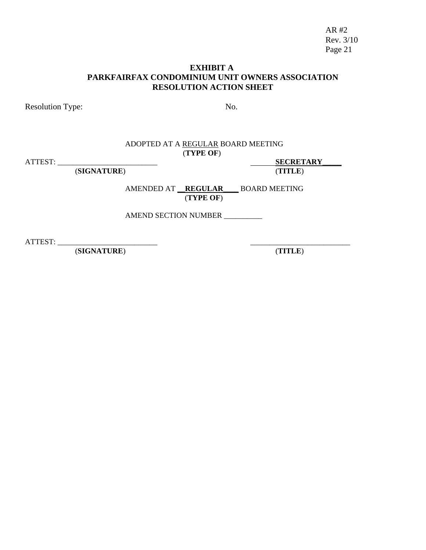### **EXHIBIT A PARKFAIRFAX CONDOMINIUM UNIT OWNERS ASSOCIATION RESOLUTION ACTION SHEET**

Resolution Type: No.

#### ADOPTED AT A REGULAR BOARD MEETING (**TYPE OF**)

(**SIGNATURE**) (**TITLE**)

ATTEST: \_\_\_\_\_\_\_\_\_\_\_\_\_\_\_\_\_\_\_\_\_\_\_\_\_\_ **SECRETARY**\_\_\_\_\_

AMENDED AT \_\_**REGULAR**\_\_\_\_ BOARD MEETING (**TYPE OF**)

AMEND SECTION NUMBER \_\_\_\_\_\_\_\_\_\_

ATTEST: \_\_\_\_\_\_\_\_\_\_\_\_\_\_\_\_\_\_\_\_\_\_\_\_\_\_ \_\_\_\_\_\_\_\_\_\_\_\_\_\_\_\_\_\_\_\_\_\_\_\_\_\_

(**SIGNATURE**) (**TITLE**)